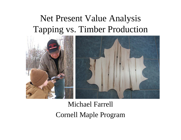## Net Present Value Analysis Tapping vs. Timber Production



## Michael Farrell Cornell Maple Program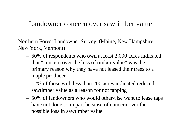#### Landowner concern over sawtimber value

Northern Forest Landowner Survey (Maine, New Hampshire, New York, Vermont)

- – 60% of respondents who own at least 2,000 acres indicated that "concern over the loss of timber value" was the primary reason why they have not leased their trees to a maple producer
- 12% of those with less than 200 acres indicated reduced sawtimber value as a reason for not tapping
- – 50% of landowners who would otherwise want to lease taps have not done so in part because of concern over the possible loss in sawtimber value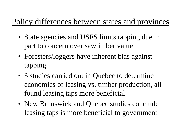## Policy differences between states and provinces

- State agencies and USFS limits tapping due in part to concern over sawtimber value
- Foresters/loggers have inherent bias against tapping
- 3 studies carried out in Quebec to determine economics of leasing vs. timber production, all found leasing taps more beneficial
- New Brunswick and Quebec studies conclude leasing taps is more beneficial to government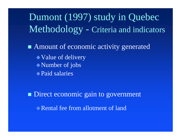Dumont (1997) study in Quebec Methodology - Criteria and indicators

■ Amount of economic activity generated • Value of delivery Number of jobs Paid salaries

**Direct economic gain to government** Rental fee from allotment of land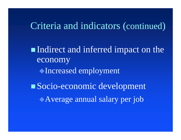## Criteria and indicators (continued )

Indirect and inferred impact on the economy Increased employment Socio-economic development Average annual salary per job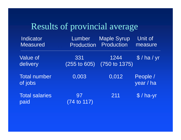# Results of provincial average

| Indicator                      | Lumber                       | <b>Maple Syrup</b> | Unit of               |
|--------------------------------|------------------------------|--------------------|-----------------------|
| <b>Measured</b>                | <b>Production</b>            | Production         | measure               |
| <b>Value of</b>                | 331                          | 1244               | \$/ha/yr              |
| delivery                       | $(255)$ to $605)$            | (750 to 1375)      |                       |
| <b>Total number</b><br>of jobs | 0,003                        | 0,012              | People /<br>year / ha |
| <b>Total salaries</b><br>paid  | 97<br>$(74 \text{ to } 117)$ | 211                | $$/$ ha-yr            |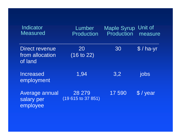| Indicator<br><b>Measured</b>                        | Lumber<br>Production         | <b>Maple Syrup</b><br>Production | Unit of<br>measure |
|-----------------------------------------------------|------------------------------|----------------------------------|--------------------|
| <b>Direct revenue</b><br>from allocation<br>of land | 20<br>(16 to 22)             | 30                               | $$/$ ha-yr         |
| <b>Increased</b><br>employment                      | 1,94                         | 3,2                              | jobs               |
| Average annual<br>salary per<br>employee            | 28 279<br>(19 615 to 37 851) | 17590                            | $$$ / year         |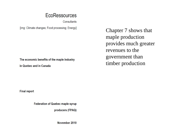#### **EcoRessources**

Consultants

[img: Climate changes; Food processing; Energy]

Chapter 7 shows that maple production provides much greater revenues to the government than timber production

The economic benefits of the maple industry

in Quebec and in Canada

**Final report** 

**Federation of Quebec maple syrup** 

producers (FPAQ)

November 2010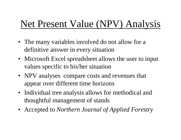# Net Present Value (NPV) Analysis

- The many variables involved do not allow for a definitive answer in every situation
- Microsoft Excel spreadsheet allows the user to input values specific to his/her situation
- NPV analyses compare costs and revenues that appear over different time horizons
- Individual tree analysis allows for methodical and thoughtful management of stands
- Accepted to *Northern Journal of Applied Forestry*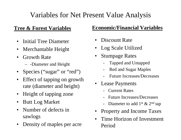### Variables for Net Present Value Analysis

#### **Tree & Forest Variables**

- •Initial Tree Diameter
- Merchantable Height
- $\bullet$  Growth Rate
	- -Diameter and Height
- Species ("sugar" or "red")
- $\bullet$  Effect of tapping on growth rate (diameter and height)
- Height of tapping zone
- Butt Log Market
- • Number of defects in sawlogs
- Density of maples per acre

#### **Economic/Financial Variables**

- •Discount Rate
- •Log Scale Utilized
- $\bullet$  Stumpage Rates
	- Tapped and Untapped
	- Red and Sugar Maples
	- Future Increases/Decreases
- • Lease Payments
	- Current Rates
	- Future Increases/Decreases
	- Diameter to add  $1^{st} \& 2^{nd}$  tap
- •Property and Income Taxes
- • Time Horizon of Investment Period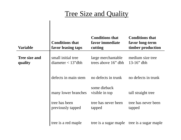#### Tree Size and Quality

| Variable                        | <b>Conditions that</b><br>favor leasing taps | <b>Conditions that</b><br>favor immediate<br>cutting | <b>Conditions that</b><br>favor long-term<br>timber production |
|---------------------------------|----------------------------------------------|------------------------------------------------------|----------------------------------------------------------------|
|                                 |                                              |                                                      |                                                                |
| <b>Tree size and</b><br>quality | small initial tree<br>diameter $<$ 13" dbh   | large merchantable<br>trees above 16" dbh            | medium size tree<br>$13-16$ " dbh                              |
|                                 | defects in main stem                         | no defects in trunk                                  | no defects in trunk                                            |
|                                 | many lower branches                          | some dieback<br>visible in top                       | tall straight tree                                             |
|                                 | tree has been<br>previously tapped           | tree has never been<br>tapped                        | tree has never been<br>tapped                                  |
|                                 | tree is a red maple                          |                                                      | tree is a sugar maple tree is a sugar maple                    |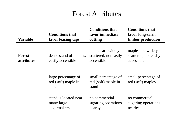| <b>Forest Attributes</b>    |                                                     |                                                          |                                                                |  |
|-----------------------------|-----------------------------------------------------|----------------------------------------------------------|----------------------------------------------------------------|--|
| <b>Variable</b>             | <b>Conditions that</b><br>favor leasing taps        | <b>Conditions that</b><br>favor immediate<br>cutting     | <b>Conditions that</b><br>favor long-term<br>timber production |  |
| <b>Forest</b><br>attributes | dense stand of maples,<br>easily accessible         | maples are widely<br>scattered, not easily<br>accessible | maples are widely<br>scattered, not easily<br>accessible       |  |
|                             | large percentage of<br>red (soft) maple in<br>stand | small percentage of<br>red (soft) maple in<br>stand      | small percentage of<br>red (soft) maples                       |  |
|                             | stand is located near<br>many large<br>sugarmakers  | no commercial<br>sugaring operations<br>nearby           | no commercial<br>sugaring operations<br>nearby                 |  |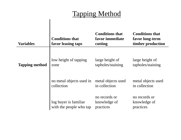### Tapping Method

| <b>Variables</b>      | <b>Conditions that</b><br>favor leasing taps     | <b>Conditions that</b><br>favor immediate<br>cutting | <b>Conditions that</b><br>favor long-term<br>timber production |
|-----------------------|--------------------------------------------------|------------------------------------------------------|----------------------------------------------------------------|
| <b>Tapping method</b> | low height of tapping                            | large height of                                      | large height of                                                |
|                       | zone                                             | tapholes/staining                                    | tapholes/staining                                              |
|                       | no metal objects used in                         | metal objects used                                   | metal objects used                                             |
|                       | collection                                       | in collection                                        | in collection                                                  |
|                       | log buyer is familiar<br>with the people who tap | no records or<br>knowledge of<br>practices           | no records or<br>knowledge of<br>practices                     |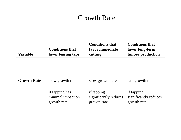#### **Growth Rate**

| <b>Variable</b>    | <b>Conditions that</b><br>favor leasing taps                           | <b>Conditions that</b><br>favor immediate<br>cutting                   | <b>Conditions that</b><br>favor long-term<br>timber production         |
|--------------------|------------------------------------------------------------------------|------------------------------------------------------------------------|------------------------------------------------------------------------|
| <b>Growth Rate</b> | slow growth rate<br>if tapping has<br>minimal impact on<br>growth rate | slow growth rate<br>if tapping<br>significantly reduces<br>growth rate | fast growth rate<br>if tapping<br>significantly reduces<br>growth rate |
|                    |                                                                        |                                                                        |                                                                        |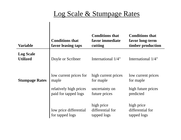#### Log Scale & Stumpage Rates

| <b>Variable</b>                     | <b>Conditions that</b><br>favor leasing taps                                      | <b>Conditions that</b><br>favor immediate<br>cutting                | <b>Conditions that</b><br>favor long-term<br>timber production     |
|-------------------------------------|-----------------------------------------------------------------------------------|---------------------------------------------------------------------|--------------------------------------------------------------------|
| <b>Log Scale</b><br><b>Utilized</b> | Doyle or Scribner                                                                 | International 1/4"                                                  | International 1/4"                                                 |
| <b>Stumpage Rates</b>               | low current prices for<br>maple<br>relatively high prices<br>paid for tapped logs | high current prices<br>for maple<br>uncertainty on<br>future prices | low current prices<br>for maple<br>high future prices<br>predicted |
|                                     | low price differential<br>for tapped logs                                         | high price<br>differential for<br>tapped logs                       | high price<br>differential for<br>tapped logs                      |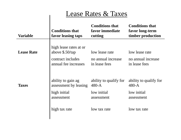| <b>Lease Rates &amp; Taxes</b> |                                              |                                                      |                                                                |  |
|--------------------------------|----------------------------------------------|------------------------------------------------------|----------------------------------------------------------------|--|
| <b>Variable</b>                | <b>Conditions that</b><br>favor leasing taps | <b>Conditions that</b><br>favor immediate<br>cutting | <b>Conditions that</b><br>favor long-term<br>timber production |  |
| <b>Lease Rate</b>              | high lease rates at or<br>above $$.50/tap$   | low lease rate                                       | low lease rate                                                 |  |
|                                | contract includes<br>annual fee increases    | no annual increase<br>in lease fees                  | no annual increase<br>in lease fees                            |  |
| <b>Taxes</b>                   | ability to gain ag<br>assessment by leasing  | ability to qualify for<br>480-A                      | ability to qualify for<br>$480-A$                              |  |
|                                | high initial<br>assessment                   | low initial<br>assessment                            | low initial<br>assessment                                      |  |
|                                | high tax rate                                | low tax rate                                         | low tax rate                                                   |  |
|                                |                                              |                                                      |                                                                |  |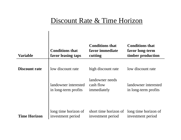#### Discount Rate & Time Horizon

| <b>Variable</b>      | <b>Conditions that</b><br>favor leasing taps | <b>Conditions that</b><br>favor immediate<br>cutting | <b>Conditions that</b><br>favor long-term<br>timber production |
|----------------------|----------------------------------------------|------------------------------------------------------|----------------------------------------------------------------|
| <b>Discount rate</b> | low discount rate                            | high discount rate                                   | low discount rate                                              |
|                      | landowner interested<br>in long-term profits | landowner needs<br>cash flow<br>immediately          | landowner interested<br>in long-term profits                   |
| <b>Time Horizon</b>  | long time horizon of<br>investment period    | short time horizon of<br>investment period           | long time horizon of<br>investment period                      |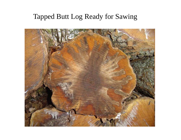### Tapped Butt Log Ready for Sawing

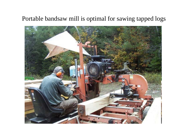#### Portable bandsaw mill is optimal for sawing tapped logs

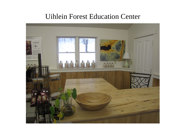#### Uihlein Forest Education Center

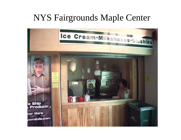## NYS Fairgrounds Maple Center

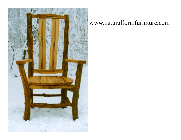

#### www.naturalformfurniture.com